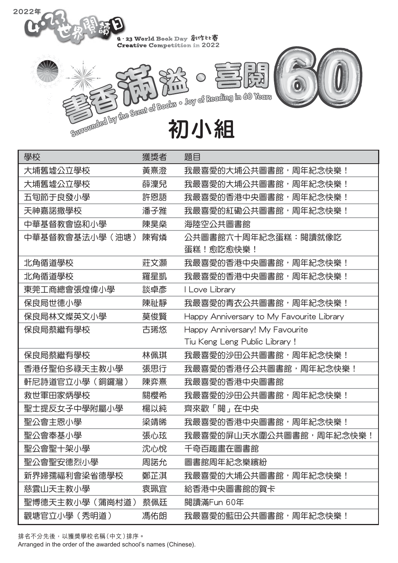

| 學校             | 獲獎者 | 題目                                        |
|----------------|-----|-------------------------------------------|
| 大埔舊墟公立學校       | 黃熹澄 | 我最喜愛的大埔公共圖書館,周年紀念快樂!                      |
| 大埔舊墟公立學校       | 薛澟兒 | 我最喜愛的大埔公共圖書館,周年紀念快樂!                      |
| 五旬節于良發小學       | 許恩語 | 我最喜愛的香港中央圖書館,周年紀念快樂!                      |
| 天神嘉諾撒學校        | 潘子雅 | 我最喜愛的紅磡公共圖書館,周年紀念快樂!                      |
| 中華基督教會協和小學     | 陳昊燊 | 海陸空公共圖書館                                  |
| 中華基督教會基法小學(油塘) | 陳宥燐 | 公共圖書館六十周年紀念蛋糕:閱讀就像吃<br>蛋糕!愈吃愈快樂!          |
| 北角循道學校         | 莊文灝 | 我最喜愛的香港中央圖書館,周年紀念快樂!                      |
| 北角循道學校         | 羅星凱 | 我最喜愛的香港中央圖書館,周年紀念快樂!                      |
| 東莞工商總會張煌偉小學    | 談卓彥 | I Love Library                            |
| 保良局世德小學        | 陳祉靜 | 我最喜愛的青衣公共圖書館,周年紀念快樂!                      |
| 保良局林文燦英文小學     | 莫俊賢 | Happy Anniversary to My Favourite Library |
| 保良局蔡繼有學校       | 古琋悠 | Happy Anniversary! My Favourite           |
|                |     | Tiu Keng Leng Public Library !            |
| 保良局蔡繼有學校       | 林佩琪 | 我最喜愛的沙田公共圖書館,周年紀念快樂!                      |
| 香港仔聖伯多祿天主教小學   | 張思行 | 我最喜愛的香港仔公共圖書館,周年紀念快樂!                     |
| 軒尼詩道官立小學(銅鑼灣)  | 陳弈熹 | 我最喜愛的香港中央圖書館                              |
| 救世軍田家炳學校       | 關櫻希 | 我最喜愛的沙田公共圖書館,周年紀念快樂!                      |
| 聖士提反女子中學附屬小學   | 楊以純 | 齊來歡「閱」在中央                                 |
| 聖公會主恩小學        | 梁靖晞 | 我最喜愛的香港中央圖書館,周年紀念快樂!                      |
| 聖公會奉基小學        | 張心玹 | 我最喜愛的屏山天水圍公共圖書館,周年紀念快樂!                   |
| 聖公會聖十架小學       | 沈心悅 | 千奇百趣畫在圖書館                                 |
| 聖公會聖安德烈小學      | 周諾允 | 圖書館周年紀念樂繽紛                                |
| 新界婦孺福利會梁省德學校   | 鄭芷淇 | 我最喜愛的大埔公共圖書館,周年紀念快樂!                      |
| 慈雲山天主教小學       | 袁珮宜 | 給香港中央圖書館的賀卡                               |
| 聖博德天主教小學(蒲崗村道) | 蔡佩廷 | 閱讀滿Fun 60年                                |
| 觀塘官立小學(秀明道)    | 馮佑朗 | 我最喜愛的藍田公共圖書館,周年紀念快樂!                      |

排名不分先後,以獲獎學校名稱(中文)排序。

2022年

Arranged in the order of the awarded school's names (Chinese).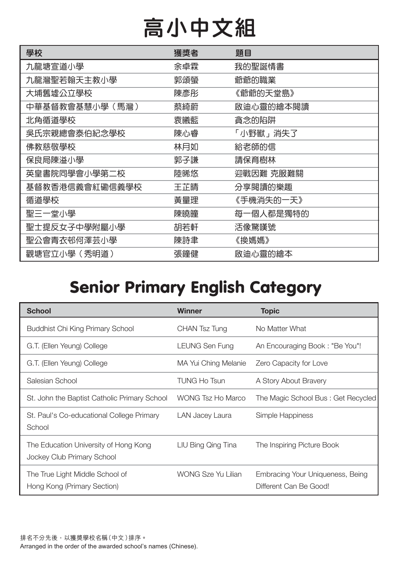# 高小中文組

| 學校             | 獲獎者 | 題目        |
|----------------|-----|-----------|
| 九龍塘宣道小學        | 余卓霖 | 我的聖誕情書    |
| 九龍灣聖若翰天主教小學    | 郭頌螢 | 爺爺的職業     |
| 大埔舊墟公立學校       | 陳彥彤 | 《爺爺的天堂島》  |
| 中華基督教會基慧小學(馬灣) | 蔡綺蔚 | 啟迪心靈的繪本閱讀 |
| 北角循道學校         | 袁曦藍 | 貪念的陷阱     |
| 吳氏宗親總會泰伯紀念學校   | 陳心睿 | 「小野獸」消失了  |
| 佛教慈敬學校         | 林月如 | 給老師的信     |
| 保良局陳溢小學        | 郭子謙 | 請保育樹林     |
| 英皇書院同學會小學第二校   | 陸晞悠 | 迎戰因難 克服難關 |
| 基督教香港信義會紅磡信義學校 | 王芷晴 | 分享閱讀的樂趣   |
| 循道學校           | 黃量理 | 《手機消失的一天》 |
| 聖三一堂小學         | 陳曉瞳 | 每一個人都是獨特的 |
| 聖士提反女子中學附屬小學   | 胡若軒 | 活像驚嘆號     |
| 聖公會青衣邨何澤芸小學    | 陳詩聿 | 《换媽媽》     |
| 觀塘官立小學(秀明道)    | 張鐘健 | 啟迪心靈的繪本   |

#### Senior Primary English Category

| <b>School</b>                                                       | <b>Winner</b>             | <b>Topic</b>                                               |
|---------------------------------------------------------------------|---------------------------|------------------------------------------------------------|
| Buddhist Chi King Primary School                                    | CHAN Tsz Tung             | No Matter What                                             |
| G.T. (Ellen Yeung) College                                          | LEUNG Sen Fung            | An Encouraging Book: "Be You"!                             |
| G.T. (Ellen Yeung) College                                          | MA Yui Ching Melanie      | Zero Capacity for Love                                     |
| Salesian School                                                     | <b>TUNG Ho Tsun</b>       | A Story About Bravery                                      |
| St. John the Baptist Catholic Primary School                        | <b>WONG Tsz Ho Marco</b>  | The Magic School Bus: Get Recycled                         |
| St. Paul's Co-educational College Primary<br>School                 | LAN Jacey Laura           | Simple Happiness                                           |
| The Education University of Hong Kong<br>Jockey Club Primary School | LIU Bing Qing Tina        | The Inspiring Picture Book                                 |
| The True Light Middle School of<br>Hong Kong (Primary Section)      | <b>WONG Sze Yu Lilian</b> | Embracing Your Uniqueness, Being<br>Different Can Be Good! |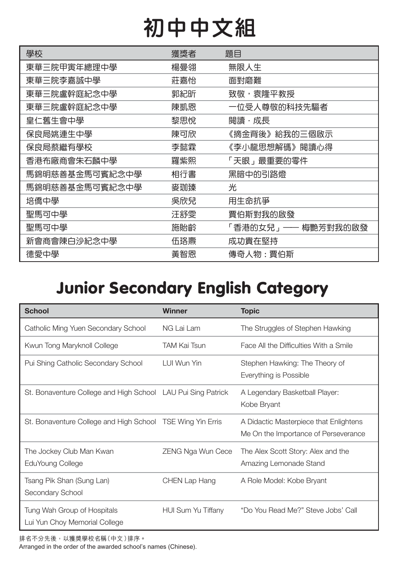# 初中中文組

| 學校             | 獲獎者 | 題目                 |
|----------------|-----|--------------------|
| 東華三院甲寅年總理中學    | 楊曼翎 | 無限人生               |
| 東華三院李嘉誠中學      | 莊嘉怡 | 面對磨難               |
| 東華三院盧幹庭紀念中學    | 郭紀昕 | 致敬,袁隆平教授           |
| 東華三院盧幹庭紀念中學    | 陳凱恩 | 一位受人尊敬的科技先驅者       |
| 皇仁舊生會中學        | 黎思悅 | 閱讀・成長              |
| 保良局姚連生中學       | 陳可欣 | 《摘金背後》給我的三個啟示      |
| 保良局蔡繼有學校       | 李懿霖 | 《李小龍思想解碼》閱讀心得      |
| 香港布廠商會朱石麟中學    | 羅紫熙 | 「天眼」最重要的零件         |
| 馬錦明慈善基金馬可賓紀念中學 | 相行書 | 黑暗中的引路燈            |
| 馬錦明慈善基金馬可賓紀念中學 | 麥珈臻 | 光                  |
| 培僑中學           | 吳欣兒 | 用生命抗爭              |
| 聖馬可中學          | 汪舒雯 | 賈伯斯對我的啟發           |
| 聖馬可中學          | 施貽齢 | 「香港的女兒」—— 梅艷芳對我的啟發 |
| 新會商會陳白沙紀念中學    | 伍珞燾 | 成功貴在堅持             |
| 德愛中學           | 黃智恩 | 傳奇人物:賈伯斯           |

### Junior Secondary English Category

| <b>School</b>                                                | <b>Winner</b>             | <b>Topic</b>                                                                   |
|--------------------------------------------------------------|---------------------------|--------------------------------------------------------------------------------|
| Catholic Ming Yuen Secondary School                          | NG Lai Lam                | The Struggles of Stephen Hawking                                               |
| Kwun Tong Maryknoll College                                  | <b>TAM Kai Tsun</b>       | Face All the Difficulties With a Smile                                         |
| Pui Shing Catholic Secondary School                          | LUI Wun Yin               | Stephen Hawking: The Theory of<br>Everything is Possible                       |
| St. Bonaventure College and High School LAU Pui Sing Patrick |                           | A Legendary Basketball Player:<br>Kobe Bryant                                  |
| St. Bonaventure College and High School TSE Wing Yin Erris   |                           | A Didactic Masterpiece that Enlightens<br>Me On the Importance of Perseverance |
| The Jockey Club Man Kwan<br>EduYoung College                 | <b>ZENG Nga Wun Cece</b>  | The Alex Scott Story: Alex and the<br>Amazing Lemonade Stand                   |
| Tsang Pik Shan (Sung Lan)<br>Secondary School                | <b>CHEN Lap Hang</b>      | A Role Model: Kobe Bryant                                                      |
| Tung Wah Group of Hospitals<br>Lui Yun Choy Memorial College | <b>HUI Sum Yu Tiffany</b> | "Do You Read Me?" Steve Jobs' Call                                             |

排名不分先後,以獲獎學校名稱(中文)排序。 Arranged in the order of the awarded school's names (Chinese).